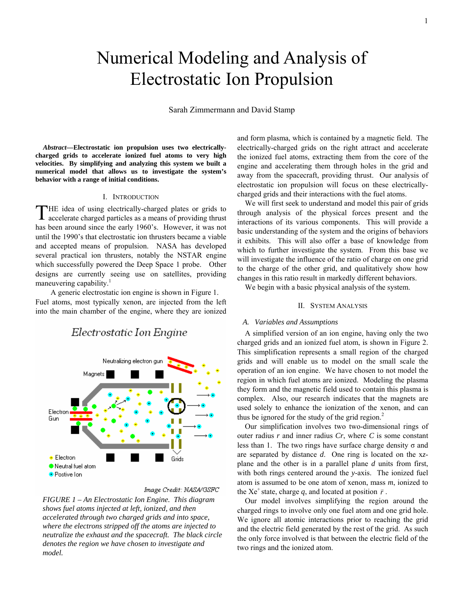# Numerical Modeling and Analysis of Electrostatic Ion Propulsion

Sarah Zimmermann and David Stamp

*Abstract***—Electrostatic ion propulsion uses two electricallycharged grids to accelerate ionized fuel atoms to very high velocities. By simplifying and analyzing this system we built a numerical model that allows us to investigate the system's behavior with a range of initial conditions.** 

# I. INTRODUCTION

HE idea of using electrically-charged plates or grids to THE idea of using electrically-charged plates or grids to accelerate charged particles as a means of providing thrust has been around since the early 1960's. However, it was not until the 1990's that electrostatic ion thrusters became a viable and accepted means of propulsion. NASA has developed several practical ion thrusters, notably the NSTAR engine which successfully powered the Deep Space 1 probe. Other designs are currently seeing use on satellites, providing maneuvering capability.<sup>1</sup>

A generic electrostatic ion engine is shown in Figure 1. Fuel atoms, most typically xenon, are injected from the left into the main chamber of the engine, where they are ionized

# Electrostatic Ion Engine



#### Image Credit: NASA/GSFC

*FIGURE 1 – An Electrostatic Ion Engine. This diagram shows fuel atoms injected at left, ionized, and then accelerated through two charged grids and into space, where the electrons stripped off the atoms are injected to neutralize the exhaust and the spacecraft. The black circle denotes the region we have chosen to investigate and model.* 

and form plasma, which is contained by a magnetic field. The electrically-charged grids on the right attract and accelerate the ionized fuel atoms, extracting them from the core of the engine and accelerating them through holes in the grid and away from the spacecraft, providing thrust. Our analysis of electrostatic ion propulsion will focus on these electricallycharged grids and their interactions with the fuel atoms.

We will first seek to understand and model this pair of grids through analysis of the physical forces present and the interactions of its various components. This will provide a basic understanding of the system and the origins of behaviors it exhibits. This will also offer a base of knowledge from which to further investigate the system. From this base we will investigate the influence of the ratio of charge on one grid to the charge of the other grid, and qualitatively show how changes in this ratio result in markedly different behaviors.

We begin with a basic physical analysis of the system.

#### II. SYSTEM ANALYSIS

## *A. Variables and Assumptions*

A simplified version of an ion engine, having only the two charged grids and an ionized fuel atom, is shown in Figure 2. This simplification represents a small region of the charged grids and will enable us to model on the small scale the operation of an ion engine. We have chosen to not model the region in which fuel atoms are ionized. Modeling the plasma they form and the magnetic field used to contain this plasma is complex. Also, our research indicates that the magnets are used solely to enhance the ionization of the xenon, and can thus be ignored for the study of the grid region. $2$ 

Our simplification involves two two-dimensional rings of outer radius *r* and inner radius *Cr*, where *C* is some constant less than 1. The two rings have surface charge density  $σ$  and are separated by distance *d*. One ring is located on the x*z*plane and the other is in a parallel plane *d* units from first, with both rings centered around the *y*-axis. The ionized fuel atom is assumed to be one atom of xenon, mass *m*, ionized to the Xe<sup>+</sup> state, charge *q*, and located at position  $\vec{r}$ .

Our model involves simplifying the region around the charged rings to involve only one fuel atom and one grid hole. We ignore all atomic interactions prior to reaching the grid and the electric field generated by the rest of the grid. As such the only force involved is that between the electric field of the two rings and the ionized atom.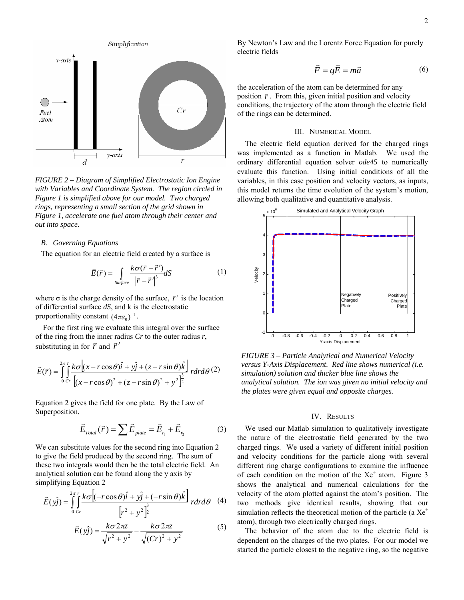

*FIGURE 2 – Diagram of Simplified Electrostatic Ion Engine with Variables and Coordinate System. The region circled in Figure 1 is simplified above for our model. Two charged rings, representing a small section of the grid shown in Figure 1, accelerate one fuel atom through their center and out into space.* 

#### *B. Governing Equations*

The equation for an electric field created by a surface is

$$
\vec{E}(\vec{r}) = \int_{\text{Surface}} \frac{k\sigma(\vec{r} - \vec{r}')}{|\vec{r} - \vec{r}'|^{3}} dS \tag{1}
$$

where  $\sigma$  is the charge density of the surface,  $\vec{r}$ <sup>'</sup> is the location of differential surface *dS*, and k is the electrostatic proportionality constant  $(4\pi\varepsilon_0)^{-1}$ .

For the first ring we evaluate this integral over the surface of the ring from the inner radius *Cr* to the outer radius *r*, substituting in for  $\vec{r}$  and  $\vec{r}'$ 

$$
\vec{E}(\vec{r}) = \int_{0}^{2\pi} \int_{0}^{r} \frac{k\sigma[(x - r\cos\theta)\hat{i} + y\hat{j} + (z - r\sin\theta)\hat{k}]}{(x - r\cos\theta)^{2} + (z - r\sin\theta)^{2} + y^{2}]^{\frac{3}{2}} r dr d\theta
$$
 (2)

Equation 2 gives the field for one plate. By the Law of Superposition,

$$
\vec{E}_{Total}(\vec{r}) = \sum \vec{E}_{plate} = \vec{E}_{r_1} + \vec{E}_{r_2}
$$
 (3)

We can substitute values for the second ring into Equation 2 to give the field produced by the second ring. The sum of these two integrals would then be the total electric field. An analytical solution can be found along the y axis by simplifying Equation 2

$$
\vec{E}(y\hat{j}) = \int_{0}^{2\pi} \int_{0}^{r} \frac{k\sigma [(-r\cos\theta)\hat{i} + y\hat{j} + (-r\sin\theta)\hat{k}]}{[r^2 + y^2]^{\frac{3}{2}}} r dr d\theta
$$
 (4)

$$
\vec{E}(y_j) = \frac{k\sigma 2\pi z}{\sqrt{r^2 + y^2}} - \frac{k\sigma 2\pi z}{\sqrt{(Cr)^2 + y^2}}
$$
(5)

By Newton's Law and the Lorentz Force Equation for purely electric fields

$$
\vec{F} = q\vec{E} = m\vec{a} \tag{6}
$$

the acceleration of the atom can be determined for any position  $\vec{r}$ . From this, given initial position and velocity conditions, the trajectory of the atom through the electric field of the rings can be determined.

#### III. NUMERICAL MODEL

The electric field equation derived for the charged rings was implemented as a function in Matlab. We used the ordinary differential equation solver *ode45* to numerically evaluate this function. Using initial conditions of all the variables, in this case position and velocity vectors, as inputs, this model returns the time evolution of the system's motion, allowing both qualitative and quantitative analysis.



*FIGURE 3 – Particle Analytical and Numerical Velocity versus Y-Axis Displacement. Red line shows numerical (i.e. simulation) solution and thicker blue line shows the analytical solution. The ion was given no initial velocity and the plates were given equal and opposite charges.* 

# IV. RESULTS

We used our Matlab simulation to qualitatively investigate the nature of the electrostatic field generated by the two charged rings. We used a variety of different initial position and velocity conditions for the particle along with several different ring charge configurations to examine the influence of each condition on the motion of the  $Xe^+$  atom. Figure 3 shows the analytical and numerical calculations for the velocity of the atom plotted against the atom's position. The two methods give identical results, showing that our simulation reflects the theoretical motion of the particle (a  $Xe^+$ atom), through two electrically charged rings.

The behavior of the atom due to the electric field is dependent on the charges of the two plates. For our model we started the particle closest to the negative ring, so the negative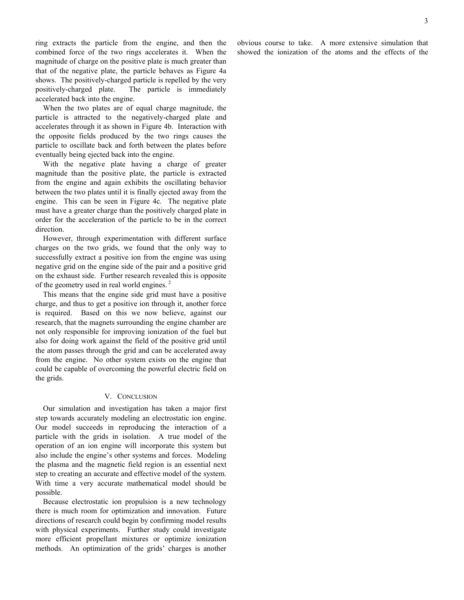ring extracts the particle from the engine, and then the combined force of the two rings accelerates it. When the magnitude of charge on the positive plate is much greater than that of the negative plate, the particle behaves as Figure 4a shows. The positively-charged particle is repelled by the very positively-charged plate. The particle is immediately accelerated back into the engine.

When the two plates are of equal charge magnitude, the particle is attracted to the negatively-charged plate and accelerates through it as shown in Figure 4b. Interaction with the opposite fields produced by the two rings causes the particle to oscillate back and forth between the plates before eventually being ejected back into the engine.

With the negative plate having a charge of greater magnitude than the positive plate, the particle is extracted from the engine and again exhibits the oscillating behavior between the two plates until it is finally ejected away from the engine. This can be seen in Figure 4c. The negative plate must have a greater charge than the positively charged plate in order for the acceleration of the particle to be in the correct direction.

However, through experimentation with different surface charges on the two grids, we found that the only way to successfully extract a positive ion from the engine was using negative grid on the engine side of the pair and a positive grid on the exhaust side. Further research revealed this is opposite of the geometry used in real world engines.<sup>2</sup>

This means that the engine side grid must have a positive charge, and thus to get a positive ion through it, another force is required. Based on this we now believe, against our research, that the magnets surrounding the engine chamber are not only responsible for improving ionization of the fuel but also for doing work against the field of the positive grid until the atom passes through the grid and can be accelerated away from the engine. No other system exists on the engine that could be capable of overcoming the powerful electric field on the grids.

# V. CONCLUSION

Our simulation and investigation has taken a major first step towards accurately modeling an electrostatic ion engine. Our model succeeds in reproducing the interaction of a particle with the grids in isolation. A true model of the operation of an ion engine will incorporate this system but also include the engine's other systems and forces. Modeling the plasma and the magnetic field region is an essential next step to creating an accurate and effective model of the system. With time a very accurate mathematical model should be possible.

Because electrostatic ion propulsion is a new technology there is much room for optimization and innovation. Future directions of research could begin by confirming model results with physical experiments. Further study could investigate more efficient propellant mixtures or optimize ionization methods. An optimization of the grids' charges is another obvious course to take. A more extensive simulation that showed the ionization of the atoms and the effects of the